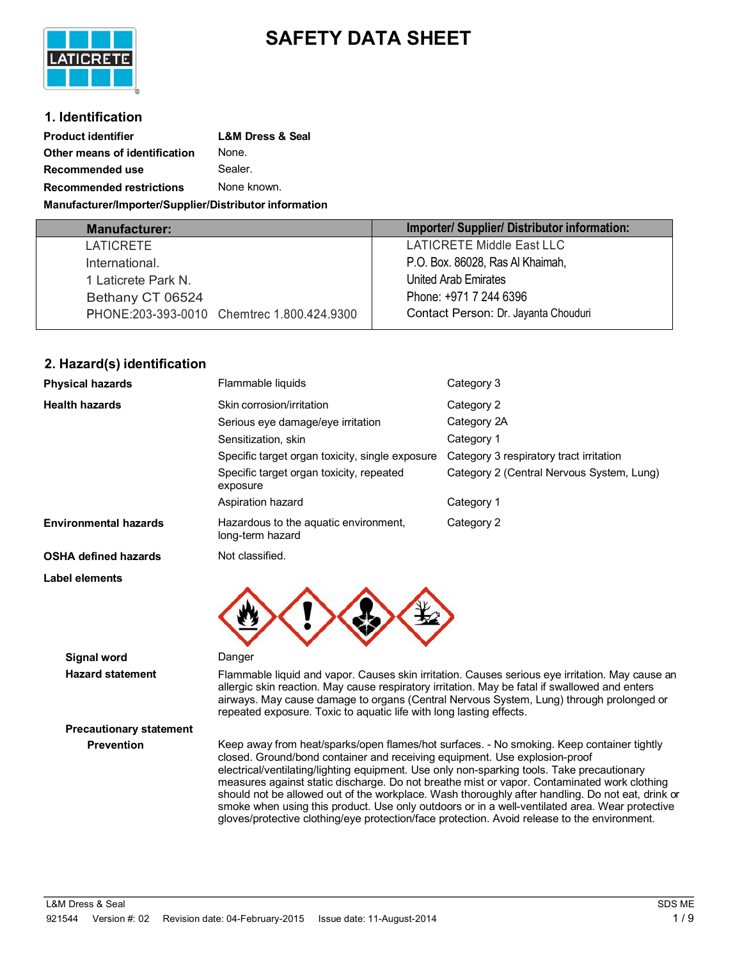# **SAFETY DATA SHEET**



### **1. Identification**

| <b>Product identifier</b>                              | <b>L&amp;M Dress &amp; Seal</b> |  |
|--------------------------------------------------------|---------------------------------|--|
| Other means of identification                          | None.                           |  |
| Recommended use                                        | Sealer.                         |  |
| None known.<br><b>Recommended restrictions</b>         |                                 |  |
| Manufacturer/Importer/Supplier/Distributor information |                                 |  |

| <b>Manufacturer:</b>                       | Importer/ Supplier/ Distributor information: |
|--------------------------------------------|----------------------------------------------|
| LATICRETE                                  | LATICRETE Middle East LLC                    |
| International.                             | P.O. Box. 86028, Ras Al Khaimah,             |
| 1 Laticrete Park N.                        | United Arab Emirates                         |
| Bethany CT 06524                           | Phone: +971 7 244 6396                       |
| PHONE:203-393-0010 Chemirec 1.800.424.9300 | Contact Person: Dr. Jayanta Chouduri         |
|                                            |                                              |

# **2. Hazard(s) identification**

| <b>Physical hazards</b>      | Flammable liquids<br>Category 3                           |                                           |
|------------------------------|-----------------------------------------------------------|-------------------------------------------|
| <b>Health hazards</b>        | Skin corrosion/irritation                                 | Category 2                                |
|                              | Serious eye damage/eye irritation                         | Category 2A                               |
|                              | Sensitization, skin                                       | Category 1                                |
|                              | Specific target organ toxicity, single exposure           | Category 3 respiratory tract irritation   |
|                              | Specific target organ toxicity, repeated<br>exposure      | Category 2 (Central Nervous System, Lung) |
|                              | Aspiration hazard                                         | Category 1                                |
| <b>Environmental hazards</b> | Hazardous to the aquatic environment,<br>long-term hazard | Category 2                                |
| <b>OSHA defined hazards</b>  | Not classified.                                           |                                           |
| Label elements               |                                                           |                                           |



**Signal word** Danger

**Hazard statement** Flammable liquid and vapor. Causes skin irritation. Causes serious eye irritation. May cause an allergic skin reaction. May cause respiratory irritation. May be fatal if swallowed and enters airways. May cause damage to organs (Central Nervous System, Lung) through prolonged or repeated exposure. Toxic to aquatic life with long lasting effects.

**Precautionary statement**

**Prevention** Keep away from heat/sparks/open flames/hot surfaces. - No smoking. Keep container tightly closed. Ground/bond container and receiving equipment. Use explosion-proof electrical/ventilating/lighting equipment. Use only non-sparking tools. Take precautionary measures against static discharge. Do not breathe mist or vapor. Contaminated work clothing should not be allowed out of the workplace. Wash thoroughly after handling. Do not eat, drink or smoke when using this product. Use only outdoors or in a well-ventilated area. Wear protective gloves/protective clothing/eye protection/face protection. Avoid release to the environment.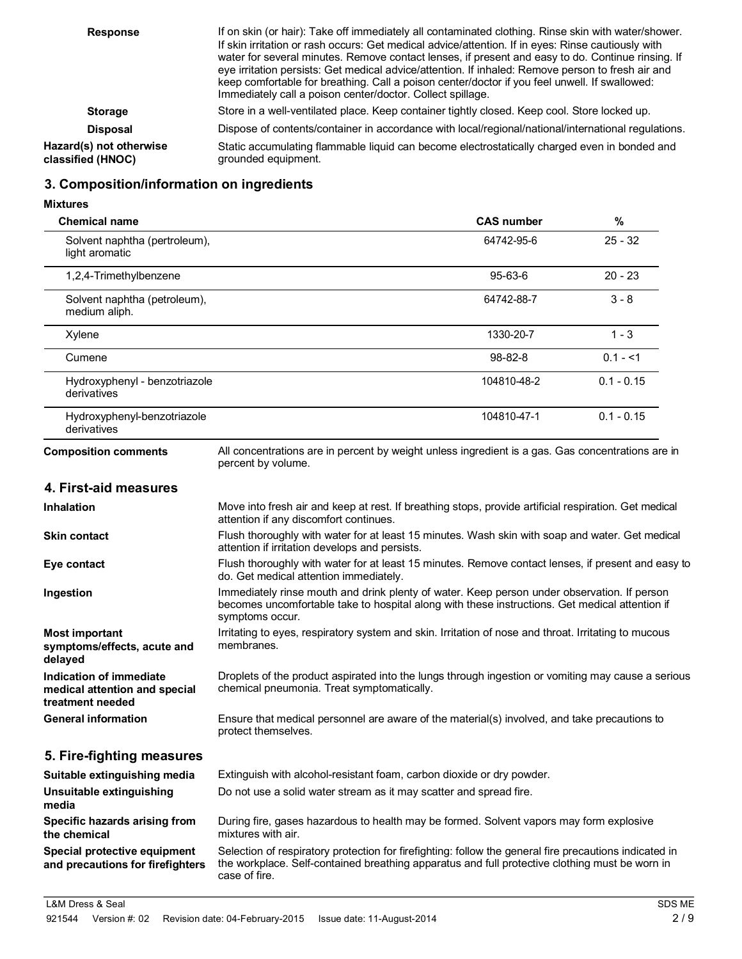| <b>Response</b>                              | If on skin (or hair): Take off immediately all contaminated clothing. Rinse skin with water/shower.                                                                                                                                                                                                                                                                                                                                                                         |
|----------------------------------------------|-----------------------------------------------------------------------------------------------------------------------------------------------------------------------------------------------------------------------------------------------------------------------------------------------------------------------------------------------------------------------------------------------------------------------------------------------------------------------------|
|                                              | If skin irritation or rash occurs: Get medical advice/attention. If in eyes: Rinse cautiously with<br>water for several minutes. Remove contact lenses, if present and easy to do. Continue rinsing. If<br>eye irritation persists: Get medical advice/attention. If inhaled: Remove person to fresh air and<br>keep comfortable for breathing. Call a poison center/doctor if you feel unwell. If swallowed:<br>Immediately call a poison center/doctor. Collect spillage. |
| <b>Storage</b>                               | Store in a well-ventilated place. Keep container tightly closed. Keep cool. Store locked up.                                                                                                                                                                                                                                                                                                                                                                                |
| <b>Disposal</b>                              | Dispose of contents/container in accordance with local/regional/national/international regulations.                                                                                                                                                                                                                                                                                                                                                                         |
| Hazard(s) not otherwise<br>classified (HNOC) | Static accumulating flammable liquid can become electrostatically charged even in bonded and<br>grounded equipment.                                                                                                                                                                                                                                                                                                                                                         |
|                                              |                                                                                                                                                                                                                                                                                                                                                                                                                                                                             |

# **3. Composition/information on ingredients**

#### **Mixtures**

| <b>Chemical name</b>                            | <b>CAS number</b> | %            |  |
|-------------------------------------------------|-------------------|--------------|--|
| Solvent naphtha (pertroleum),<br>light aromatic | 64742-95-6        | $25 - 32$    |  |
| 1,2,4-Trimethylbenzene                          | $95 - 63 - 6$     | $20 - 23$    |  |
| Solvent naphtha (petroleum),<br>medium aliph.   | 64742-88-7        | $3 - 8$      |  |
| Xylene                                          | 1330-20-7         | $1 - 3$      |  |
| Cumene                                          | $98 - 82 - 8$     | $0.1 - 1$    |  |
| Hydroxyphenyl - benzotriazole<br>derivatives    | 104810-48-2       | $0.1 - 0.15$ |  |
| Hydroxyphenyl-benzotriazole<br>derivatives      | 104810-47-1       | $0.1 - 0.15$ |  |

**Composition comments** All concentrations are in percent by weight unless ingredient is a gas. Gas concentrations are in percent by volume.

# **4. First-aid measures**

| <b>Inhalation</b>                                                            | Move into fresh air and keep at rest. If breathing stops, provide artificial respiration. Get medical<br>attention if any discomfort continues.                                                                  |
|------------------------------------------------------------------------------|------------------------------------------------------------------------------------------------------------------------------------------------------------------------------------------------------------------|
| <b>Skin contact</b>                                                          | Flush thoroughly with water for at least 15 minutes. Wash skin with soap and water. Get medical<br>attention if irritation develops and persists.                                                                |
| Eye contact                                                                  | Flush thoroughly with water for at least 15 minutes. Remove contact lenses, if present and easy to<br>do. Get medical attention immediately.                                                                     |
| Ingestion                                                                    | Immediately rinse mouth and drink plenty of water. Keep person under observation. If person<br>becomes uncomfortable take to hospital along with these instructions. Get medical attention if<br>symptoms occur. |
| <b>Most important</b><br>symptoms/effects, acute and<br>delayed              | Irritating to eyes, respiratory system and skin. Irritation of nose and throat. Irritating to mucous<br>membranes.                                                                                               |
| Indication of immediate<br>medical attention and special<br>treatment needed | Droplets of the product aspirated into the lungs through ingestion or vomiting may cause a serious<br>chemical pneumonia. Treat symptomatically.                                                                 |
| <b>General information</b>                                                   | Ensure that medical personnel are aware of the material(s) involved, and take precautions to<br>protect themselves.                                                                                              |
|                                                                              |                                                                                                                                                                                                                  |

### **5. Fire-fighting measures**

| Suitable extinguishing media                                     | Extinguish with alcohol-resistant foam, carbon dioxide or dry powder.                                                                                                                                                     |
|------------------------------------------------------------------|---------------------------------------------------------------------------------------------------------------------------------------------------------------------------------------------------------------------------|
| Unsuitable extinguishing<br>media                                | Do not use a solid water stream as it may scatter and spread fire.                                                                                                                                                        |
| Specific hazards arising from<br>the chemical                    | During fire, gases hazardous to health may be formed. Solvent vapors may form explosive<br>mixtures with air.                                                                                                             |
| Special protective equipment<br>and precautions for firefighters | Selection of respiratory protection for firefighting: follow the general fire precautions indicated in<br>the workplace. Self-contained breathing apparatus and full protective clothing must be worn in<br>case of fire. |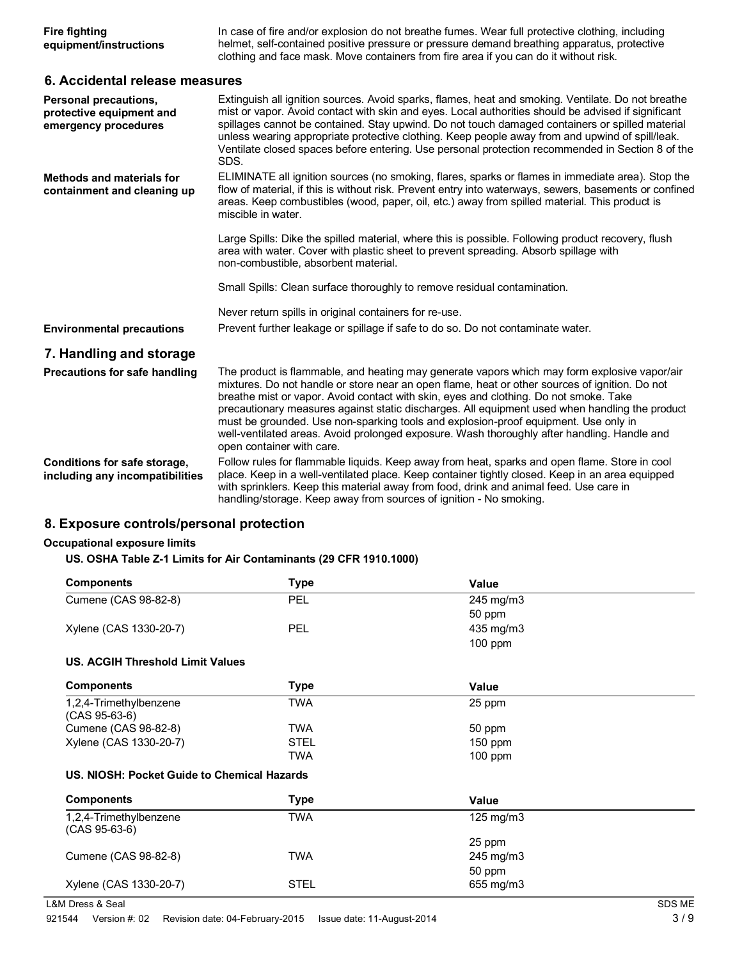| <b>Fire fighting</b>   | In case of fire and/or explosion do not breathe fumes. Wear full protective clothing, including |
|------------------------|-------------------------------------------------------------------------------------------------|
| equipment/instructions | helmet, self-contained positive pressure or pressure demand breathing apparatus, protective     |
|                        | clothing and face mask. Move containers from fire area if you can do it without risk.           |

## **6. Accidental release measures**

| Personal precautions,<br>protective equipment and<br>emergency procedures | Extinguish all ignition sources. Avoid sparks, flames, heat and smoking. Ventilate. Do not breathe<br>mist or vapor. Avoid contact with skin and eyes. Local authorities should be advised if significant<br>spillages cannot be contained. Stay upwind. Do not touch damaged containers or spilled material<br>unless wearing appropriate protective clothing. Keep people away from and upwind of spill/leak.<br>Ventilate closed spaces before entering. Use personal protection recommended in Section 8 of the<br>SDS.                                                                                  |  |
|---------------------------------------------------------------------------|--------------------------------------------------------------------------------------------------------------------------------------------------------------------------------------------------------------------------------------------------------------------------------------------------------------------------------------------------------------------------------------------------------------------------------------------------------------------------------------------------------------------------------------------------------------------------------------------------------------|--|
| Methods and materials for<br>containment and cleaning up                  | ELIMINATE all ignition sources (no smoking, flares, sparks or flames in immediate area). Stop the<br>flow of material, if this is without risk. Prevent entry into waterways, sewers, basements or confined<br>areas. Keep combustibles (wood, paper, oil, etc.) away from spilled material. This product is<br>miscible in water.                                                                                                                                                                                                                                                                           |  |
|                                                                           | Large Spills: Dike the spilled material, where this is possible. Following product recovery, flush<br>area with water. Cover with plastic sheet to prevent spreading. Absorb spillage with<br>non-combustible, absorbent material.                                                                                                                                                                                                                                                                                                                                                                           |  |
|                                                                           | Small Spills: Clean surface thoroughly to remove residual contamination.                                                                                                                                                                                                                                                                                                                                                                                                                                                                                                                                     |  |
|                                                                           | Never return spills in original containers for re-use.                                                                                                                                                                                                                                                                                                                                                                                                                                                                                                                                                       |  |
| <b>Environmental precautions</b>                                          | Prevent further leakage or spillage if safe to do so. Do not contaminate water.                                                                                                                                                                                                                                                                                                                                                                                                                                                                                                                              |  |
| 7. Handling and storage                                                   |                                                                                                                                                                                                                                                                                                                                                                                                                                                                                                                                                                                                              |  |
| Precautions for safe handling                                             | The product is flammable, and heating may generate vapors which may form explosive vapor/air<br>mixtures. Do not handle or store near an open flame, heat or other sources of ignition. Do not<br>breathe mist or vapor. Avoid contact with skin, eyes and clothing. Do not smoke. Take<br>precautionary measures against static discharges. All equipment used when handling the product<br>must be grounded. Use non-sparking tools and explosion-proof equipment. Use only in<br>well-ventilated areas. Avoid prolonged exposure. Wash thoroughly after handling. Handle and<br>open container with care. |  |
| Conditions for safe storage,<br>including any incompatibilities           | Follow rules for flammable liquids. Keep away from heat, sparks and open flame. Store in cool<br>place. Keep in a well-ventilated place. Keep container tightly closed. Keep in an area equipped<br>with sprinklers. Keep this material away from food, drink and animal feed. Use care in<br>handling/storage. Keep away from sources of ignition - No smoking.                                                                                                                                                                                                                                             |  |

# **8. Exposure controls/personal protection**

### **Occupational exposure limits**

## **US. OSHA Table Z-1 Limits for Air Contaminants (29 CFR 1910.1000)**

| <b>Components</b>                           | <b>Type</b> | Value              |  |
|---------------------------------------------|-------------|--------------------|--|
| Cumene (CAS 98-82-8)                        | <b>PEL</b>  | 245 mg/m3          |  |
|                                             |             | 50 ppm             |  |
| Xylene (CAS 1330-20-7)                      | <b>PEL</b>  | 435 mg/m3          |  |
|                                             |             | $100$ ppm          |  |
| <b>US. ACGIH Threshold Limit Values</b>     |             |                    |  |
| <b>Components</b>                           | <b>Type</b> | Value              |  |
| 1,2,4-Trimethylbenzene                      | <b>TWA</b>  | 25 ppm             |  |
| $(CAS 95-63-6)$                             |             |                    |  |
| Cumene (CAS 98-82-8)                        | <b>TWA</b>  | 50 ppm             |  |
| Xylene (CAS 1330-20-7)                      | STEL        | $150$ ppm          |  |
|                                             | <b>TWA</b>  | $100$ ppm          |  |
| US. NIOSH: Pocket Guide to Chemical Hazards |             |                    |  |
| <b>Components</b>                           | <b>Type</b> | Value              |  |
| 1,2,4-Trimethylbenzene<br>$(CAS 95-63-6)$   | <b>TWA</b>  | $125 \text{ mg/m}$ |  |
|                                             |             | 25 ppm             |  |
| Cumene (CAS 98-82-8)                        | <b>TWA</b>  | 245 mg/m3          |  |
|                                             |             | 50 ppm             |  |
| Xylene (CAS 1330-20-7)                      | <b>STEL</b> | 655 mg/m3          |  |
|                                             |             |                    |  |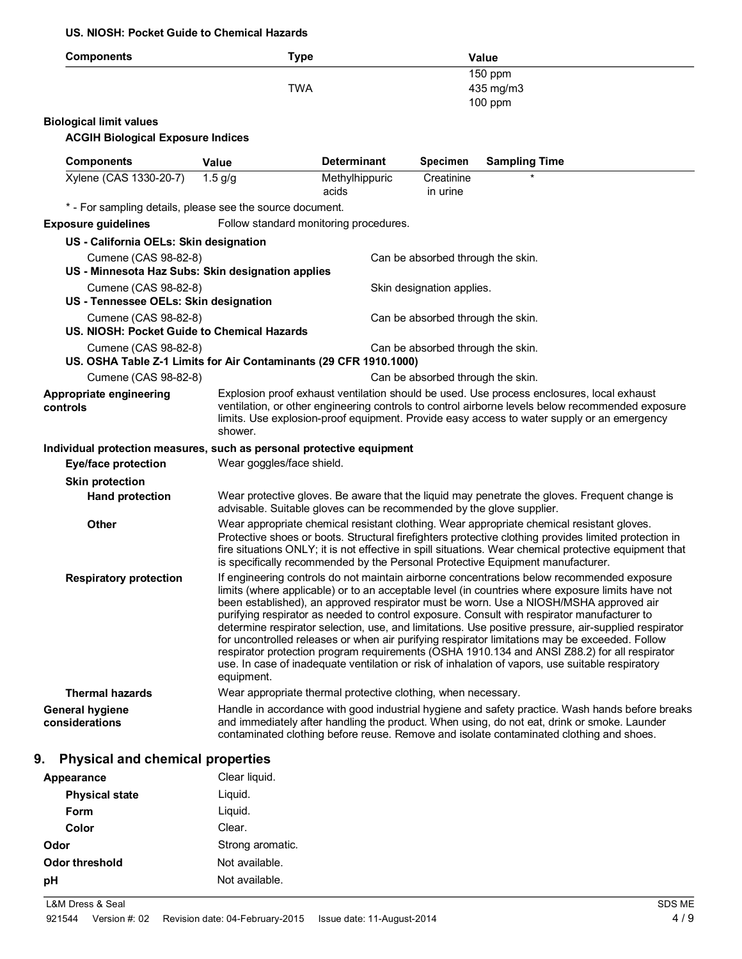#### **US. NIOSH: Pocket Guide to Chemical Hazards**

| <b>Components</b>                                                     | <b>Type</b>                                                                                                                                                                                                                                                                                                                                                                                    |                                                                      |                                   | <b>Value</b>                                                                                                                                                                                                                                                                                                                                                                                                                                                                                                                                                                                                                                                                                                                                                                                         |
|-----------------------------------------------------------------------|------------------------------------------------------------------------------------------------------------------------------------------------------------------------------------------------------------------------------------------------------------------------------------------------------------------------------------------------------------------------------------------------|----------------------------------------------------------------------|-----------------------------------|------------------------------------------------------------------------------------------------------------------------------------------------------------------------------------------------------------------------------------------------------------------------------------------------------------------------------------------------------------------------------------------------------------------------------------------------------------------------------------------------------------------------------------------------------------------------------------------------------------------------------------------------------------------------------------------------------------------------------------------------------------------------------------------------------|
|                                                                       |                                                                                                                                                                                                                                                                                                                                                                                                |                                                                      |                                   | 150 ppm                                                                                                                                                                                                                                                                                                                                                                                                                                                                                                                                                                                                                                                                                                                                                                                              |
|                                                                       | <b>TWA</b>                                                                                                                                                                                                                                                                                                                                                                                     |                                                                      |                                   | 435 mg/m3<br>$100$ ppm                                                                                                                                                                                                                                                                                                                                                                                                                                                                                                                                                                                                                                                                                                                                                                               |
| <b>Biological limit values</b>                                        |                                                                                                                                                                                                                                                                                                                                                                                                |                                                                      |                                   |                                                                                                                                                                                                                                                                                                                                                                                                                                                                                                                                                                                                                                                                                                                                                                                                      |
| <b>ACGIH Biological Exposure Indices</b>                              |                                                                                                                                                                                                                                                                                                                                                                                                |                                                                      |                                   |                                                                                                                                                                                                                                                                                                                                                                                                                                                                                                                                                                                                                                                                                                                                                                                                      |
| <b>Components</b>                                                     | <b>Value</b>                                                                                                                                                                                                                                                                                                                                                                                   | <b>Determinant</b>                                                   | <b>Specimen</b>                   | <b>Sampling Time</b>                                                                                                                                                                                                                                                                                                                                                                                                                                                                                                                                                                                                                                                                                                                                                                                 |
| Xylene (CAS 1330-20-7)                                                | $1.5$ g/g                                                                                                                                                                                                                                                                                                                                                                                      | Methylhippuric                                                       | Creatinine                        |                                                                                                                                                                                                                                                                                                                                                                                                                                                                                                                                                                                                                                                                                                                                                                                                      |
|                                                                       |                                                                                                                                                                                                                                                                                                                                                                                                | acids                                                                | in urine                          |                                                                                                                                                                                                                                                                                                                                                                                                                                                                                                                                                                                                                                                                                                                                                                                                      |
| * - For sampling details, please see the source document.             |                                                                                                                                                                                                                                                                                                                                                                                                |                                                                      |                                   |                                                                                                                                                                                                                                                                                                                                                                                                                                                                                                                                                                                                                                                                                                                                                                                                      |
| <b>Exposure guidelines</b>                                            |                                                                                                                                                                                                                                                                                                                                                                                                | Follow standard monitoring procedures.                               |                                   |                                                                                                                                                                                                                                                                                                                                                                                                                                                                                                                                                                                                                                                                                                                                                                                                      |
| US - California OELs: Skin designation                                |                                                                                                                                                                                                                                                                                                                                                                                                |                                                                      |                                   |                                                                                                                                                                                                                                                                                                                                                                                                                                                                                                                                                                                                                                                                                                                                                                                                      |
| Cumene (CAS 98-82-8)                                                  |                                                                                                                                                                                                                                                                                                                                                                                                |                                                                      | Can be absorbed through the skin. |                                                                                                                                                                                                                                                                                                                                                                                                                                                                                                                                                                                                                                                                                                                                                                                                      |
| US - Minnesota Haz Subs: Skin designation applies                     |                                                                                                                                                                                                                                                                                                                                                                                                |                                                                      |                                   |                                                                                                                                                                                                                                                                                                                                                                                                                                                                                                                                                                                                                                                                                                                                                                                                      |
| Cumene (CAS 98-82-8)                                                  |                                                                                                                                                                                                                                                                                                                                                                                                |                                                                      | Skin designation applies.         |                                                                                                                                                                                                                                                                                                                                                                                                                                                                                                                                                                                                                                                                                                                                                                                                      |
| US - Tennessee OELs: Skin designation                                 |                                                                                                                                                                                                                                                                                                                                                                                                |                                                                      |                                   |                                                                                                                                                                                                                                                                                                                                                                                                                                                                                                                                                                                                                                                                                                                                                                                                      |
| Cumene (CAS 98-82-8)<br>US. NIOSH: Pocket Guide to Chemical Hazards   |                                                                                                                                                                                                                                                                                                                                                                                                |                                                                      | Can be absorbed through the skin. |                                                                                                                                                                                                                                                                                                                                                                                                                                                                                                                                                                                                                                                                                                                                                                                                      |
| Cumene (CAS 98-82-8)                                                  |                                                                                                                                                                                                                                                                                                                                                                                                |                                                                      | Can be absorbed through the skin. |                                                                                                                                                                                                                                                                                                                                                                                                                                                                                                                                                                                                                                                                                                                                                                                                      |
| US. OSHA Table Z-1 Limits for Air Contaminants (29 CFR 1910.1000)     |                                                                                                                                                                                                                                                                                                                                                                                                |                                                                      |                                   |                                                                                                                                                                                                                                                                                                                                                                                                                                                                                                                                                                                                                                                                                                                                                                                                      |
| Cumene (CAS 98-82-8)                                                  |                                                                                                                                                                                                                                                                                                                                                                                                |                                                                      | Can be absorbed through the skin. |                                                                                                                                                                                                                                                                                                                                                                                                                                                                                                                                                                                                                                                                                                                                                                                                      |
| Appropriate engineering<br>controls                                   | Explosion proof exhaust ventilation should be used. Use process enclosures, local exhaust<br>ventilation, or other engineering controls to control airborne levels below recommended exposure<br>limits. Use explosion-proof equipment. Provide easy access to water supply or an emergency<br>shower.                                                                                         |                                                                      |                                   |                                                                                                                                                                                                                                                                                                                                                                                                                                                                                                                                                                                                                                                                                                                                                                                                      |
| Individual protection measures, such as personal protective equipment |                                                                                                                                                                                                                                                                                                                                                                                                |                                                                      |                                   |                                                                                                                                                                                                                                                                                                                                                                                                                                                                                                                                                                                                                                                                                                                                                                                                      |
| <b>Eye/face protection</b>                                            | Wear goggles/face shield.                                                                                                                                                                                                                                                                                                                                                                      |                                                                      |                                   |                                                                                                                                                                                                                                                                                                                                                                                                                                                                                                                                                                                                                                                                                                                                                                                                      |
| <b>Skin protection</b>                                                |                                                                                                                                                                                                                                                                                                                                                                                                |                                                                      |                                   |                                                                                                                                                                                                                                                                                                                                                                                                                                                                                                                                                                                                                                                                                                                                                                                                      |
| <b>Hand protection</b>                                                |                                                                                                                                                                                                                                                                                                                                                                                                | advisable. Suitable gloves can be recommended by the glove supplier. |                                   | Wear protective gloves. Be aware that the liquid may penetrate the gloves. Frequent change is                                                                                                                                                                                                                                                                                                                                                                                                                                                                                                                                                                                                                                                                                                        |
| <b>Other</b>                                                          | Wear appropriate chemical resistant clothing. Wear appropriate chemical resistant gloves.<br>Protective shoes or boots. Structural firefighters protective clothing provides limited protection in<br>fire situations ONLY; it is not effective in spill situations. Wear chemical protective equipment that<br>is specifically recommended by the Personal Protective Equipment manufacturer. |                                                                      |                                   |                                                                                                                                                                                                                                                                                                                                                                                                                                                                                                                                                                                                                                                                                                                                                                                                      |
| <b>Respiratory protection</b>                                         | equipment.                                                                                                                                                                                                                                                                                                                                                                                     |                                                                      |                                   | If engineering controls do not maintain airborne concentrations below recommended exposure<br>limits (where applicable) or to an acceptable level (in countries where exposure limits have not<br>been established), an approved respirator must be worn. Use a NIOSH/MSHA approved air<br>purifying respirator as needed to control exposure. Consult with respirator manufacturer to<br>determine respirator selection, use, and limitations. Use positive pressure, air-supplied respirator<br>for uncontrolled releases or when air purifying respirator limitations may be exceeded. Follow<br>respirator protection program requirements (OSHA 1910.134 and ANSI Z88.2) for all respirator<br>use. In case of inadequate ventilation or risk of inhalation of vapors, use suitable respiratory |
| <b>Thermal hazards</b>                                                |                                                                                                                                                                                                                                                                                                                                                                                                | Wear appropriate thermal protective clothing, when necessary.        |                                   |                                                                                                                                                                                                                                                                                                                                                                                                                                                                                                                                                                                                                                                                                                                                                                                                      |
| <b>General hygiene</b><br>considerations                              |                                                                                                                                                                                                                                                                                                                                                                                                |                                                                      |                                   | Handle in accordance with good industrial hygiene and safety practice. Wash hands before breaks<br>and immediately after handling the product. When using, do not eat, drink or smoke. Launder<br>contaminated clothing before reuse. Remove and isolate contaminated clothing and shoes.                                                                                                                                                                                                                                                                                                                                                                                                                                                                                                            |

# **9. Physical and chemical properties**

| Appearance            | Clear liquid.    |
|-----------------------|------------------|
| <b>Physical state</b> | Liquid.          |
| Form                  | Liquid.          |
| <b>Color</b>          | Clear.           |
| Odor                  | Strong aromatic. |
| Odor threshold        | Not available.   |
| pH                    | Not available.   |
|                       |                  |

L&M Dress & Seal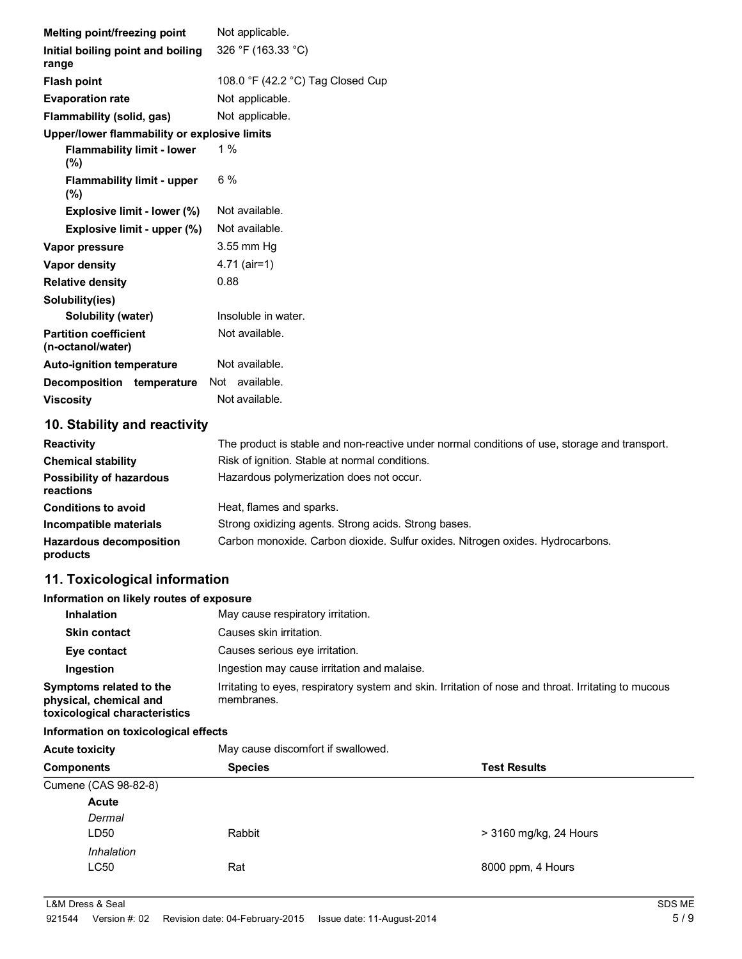| Melting point/freezing point                      | Not applicable.                                     |
|---------------------------------------------------|-----------------------------------------------------|
| Initial boiling point and boiling<br>range        | 326 °F (163.33 °C)                                  |
| <b>Flash point</b>                                | 108.0 $\degree$ F (42.2 $\degree$ C) Tag Closed Cup |
| <b>Evaporation rate</b>                           | Not applicable.                                     |
| Flammability (solid, gas)                         | Not applicable.                                     |
| Upper/lower flammability or explosive limits      |                                                     |
| <b>Flammability limit - lower</b><br>$(\% )$      | 1 $%$                                               |
| <b>Flammability limit - upper</b><br>$(\% )$      | $6\%$                                               |
| <b>Explosive limit - lower (%)</b>                | Not available.                                      |
| Explosive limit - upper (%)                       | Not available.                                      |
| Vapor pressure                                    | 3.55 mm Hq                                          |
| <b>Vapor density</b>                              | $4.71$ (air=1)                                      |
| <b>Relative density</b>                           | 0.88                                                |
| Solubility(ies)                                   |                                                     |
| Solubility (water)                                | Insoluble in water.                                 |
| <b>Partition coefficient</b><br>(n-octanol/water) | Not available.                                      |
| <b>Auto-ignition temperature</b>                  | Not available.                                      |
| Decomposition temperature                         | Not available.                                      |
| <b>Viscosity</b>                                  | Not available.                                      |

# **10. Stability and reactivity**

| <b>Reactivity</b>                            | The product is stable and non-reactive under normal conditions of use, storage and transport. |
|----------------------------------------------|-----------------------------------------------------------------------------------------------|
| <b>Chemical stability</b>                    | Risk of ignition. Stable at normal conditions.                                                |
| Possibility of hazardous<br><b>reactions</b> | Hazardous polymerization does not occur.                                                      |
| <b>Conditions to avoid</b>                   | Heat, flames and sparks.                                                                      |
| Incompatible materials                       | Strong oxidizing agents. Strong acids. Strong bases.                                          |
| <b>Hazardous decomposition</b><br>products   | Carbon monoxide. Carbon dioxide. Sulfur oxides. Nitrogen oxides. Hydrocarbons.                |

# **11. Toxicological information**

#### **Information on likely routes of exposure**

| <b>Inhalation</b>                                                                  | May cause respiratory irritation.                                                                                  |
|------------------------------------------------------------------------------------|--------------------------------------------------------------------------------------------------------------------|
| <b>Skin contact</b>                                                                | Causes skin irritation.                                                                                            |
| Eye contact                                                                        | Causes serious eye irritation.                                                                                     |
| Ingestion                                                                          | Ingestion may cause irritation and malaise.                                                                        |
| Symptoms related to the<br>physical, chemical and<br>toxicological characteristics | Irritating to eyes, respiratory system and skin. Irritation of nose and throat. Irritating to mucous<br>membranes. |

### **Information on toxicological effects**

| <b>Acute toxicity</b> | May cause discomfort if swallowed.<br><b>Species</b><br><b>Test Results</b> |                        |  |
|-----------------------|-----------------------------------------------------------------------------|------------------------|--|
| <b>Components</b>     |                                                                             |                        |  |
| Cumene (CAS 98-82-8)  |                                                                             |                        |  |
| Acute                 |                                                                             |                        |  |
| Dermal                |                                                                             |                        |  |
| LD50                  | Rabbit                                                                      | > 3160 mg/kg, 24 Hours |  |
| Inhalation            |                                                                             |                        |  |
| LC50                  | Rat                                                                         | 8000 ppm, 4 Hours      |  |
|                       |                                                                             |                        |  |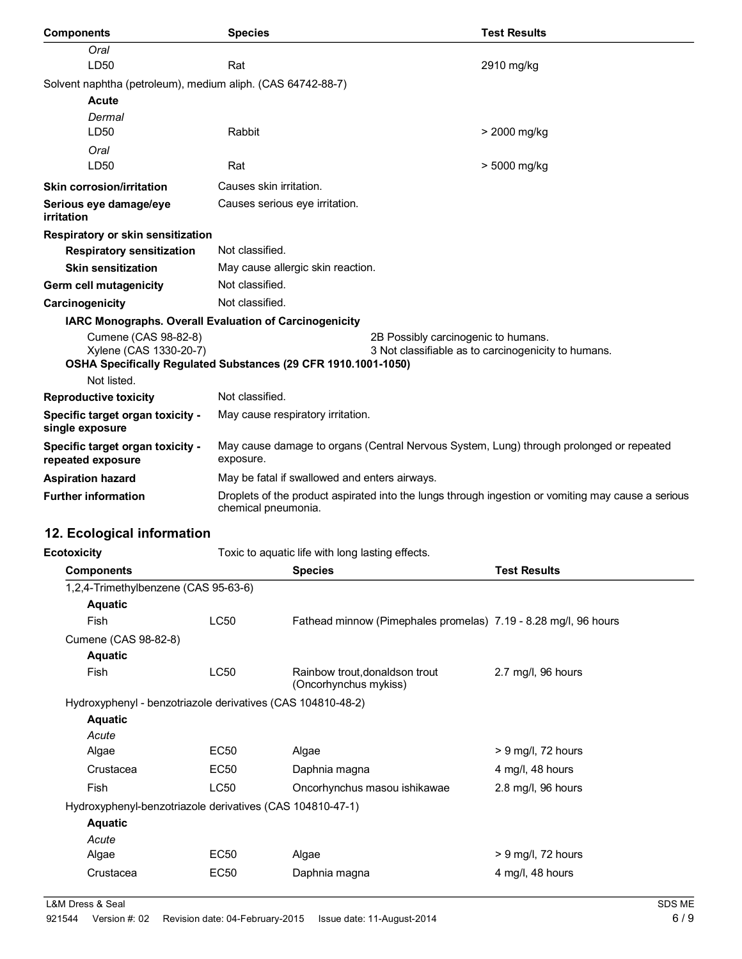| <b>Components</b>                                           | <b>Species</b>                                                                                                            |                                     | <b>Test Results</b> |
|-------------------------------------------------------------|---------------------------------------------------------------------------------------------------------------------------|-------------------------------------|---------------------|
| Oral                                                        |                                                                                                                           |                                     |                     |
| LD50                                                        | Rat                                                                                                                       |                                     | 2910 mg/kg          |
| Solvent naphtha (petroleum), medium aliph. (CAS 64742-88-7) |                                                                                                                           |                                     |                     |
| <b>Acute</b>                                                |                                                                                                                           |                                     |                     |
| Dermal                                                      |                                                                                                                           |                                     |                     |
| LD50                                                        | Rabbit                                                                                                                    |                                     | > 2000 mg/kg        |
| Oral                                                        |                                                                                                                           |                                     |                     |
| LD50                                                        | Rat                                                                                                                       |                                     | > 5000 mg/kg        |
| <b>Skin corrosion/irritation</b>                            | Causes skin irritation.                                                                                                   |                                     |                     |
| Serious eye damage/eye<br>irritation                        | Causes serious eye irritation.                                                                                            |                                     |                     |
| Respiratory or skin sensitization                           |                                                                                                                           |                                     |                     |
| <b>Respiratory sensitization</b>                            | Not classified.                                                                                                           |                                     |                     |
| <b>Skin sensitization</b>                                   | May cause allergic skin reaction.                                                                                         |                                     |                     |
| <b>Germ cell mutagenicity</b>                               | Not classified.                                                                                                           |                                     |                     |
| Carcinogenicity                                             | Not classified.                                                                                                           |                                     |                     |
| IARC Monographs. Overall Evaluation of Carcinogenicity      |                                                                                                                           |                                     |                     |
| Cumene (CAS 98-82-8)                                        |                                                                                                                           | 2B Possibly carcinogenic to humans. |                     |
| Xylene (CAS 1330-20-7)                                      | 3 Not classifiable as to carcinogenicity to humans.                                                                       |                                     |                     |
| Not listed.                                                 | OSHA Specifically Regulated Substances (29 CFR 1910.1001-1050)                                                            |                                     |                     |
| <b>Reproductive toxicity</b>                                | Not classified.                                                                                                           |                                     |                     |
|                                                             |                                                                                                                           |                                     |                     |
| Specific target organ toxicity -<br>single exposure         | May cause respiratory irritation.                                                                                         |                                     |                     |
| Specific target organ toxicity -<br>repeated exposure       | May cause damage to organs (Central Nervous System, Lung) through prolonged or repeated<br>exposure.                      |                                     |                     |
| <b>Aspiration hazard</b>                                    | May be fatal if swallowed and enters airways.                                                                             |                                     |                     |
| <b>Further information</b>                                  | Droplets of the product aspirated into the lungs through ingestion or vomiting may cause a serious<br>chemical pneumonia. |                                     |                     |
| 12. Ecological information                                  |                                                                                                                           |                                     |                     |
| <b>Ecotoxicity</b>                                          | Toxic to aquatic life with long lasting effects.                                                                          |                                     |                     |

| <b>Components</b>                                           |             | <b>Species</b>                                                  | <b>Test Results</b>           |
|-------------------------------------------------------------|-------------|-----------------------------------------------------------------|-------------------------------|
| 1,2,4-Trimethylbenzene (CAS 95-63-6)                        |             |                                                                 |                               |
| <b>Aquatic</b>                                              |             |                                                                 |                               |
| <b>Fish</b>                                                 | <b>LC50</b> | Fathead minnow (Pimephales promelas) 7.19 - 8.28 mg/l, 96 hours |                               |
| Cumene (CAS 98-82-8)                                        |             |                                                                 |                               |
| <b>Aquatic</b>                                              |             |                                                                 |                               |
| Fish                                                        | LC50        | Rainbow trout, donaldson trout<br>(Oncorhynchus mykiss)         | $2.7 \text{ mg/l}$ , 96 hours |
| Hydroxyphenyl - benzotriazole derivatives (CAS 104810-48-2) |             |                                                                 |                               |
| <b>Aquatic</b>                                              |             |                                                                 |                               |
| Acute                                                       |             |                                                                 |                               |
| Algae                                                       | EC50        | Algae                                                           | $> 9$ mg/l, 72 hours          |
| Crustacea                                                   | <b>EC50</b> | Daphnia magna                                                   | 4 mg/l, 48 hours              |
| <b>Fish</b>                                                 | <b>LC50</b> | Oncorhynchus masou ishikawae                                    | 2.8 mg/l, 96 hours            |
| Hydroxyphenyl-benzotriazole derivatives (CAS 104810-47-1)   |             |                                                                 |                               |
| <b>Aquatic</b>                                              |             |                                                                 |                               |
| Acute                                                       |             |                                                                 |                               |
| Algae                                                       | EC50        | Algae                                                           | $> 9$ mg/l, 72 hours          |
| Crustacea                                                   | EC50        | Daphnia magna                                                   | 4 mg/l, 48 hours              |
|                                                             |             |                                                                 |                               |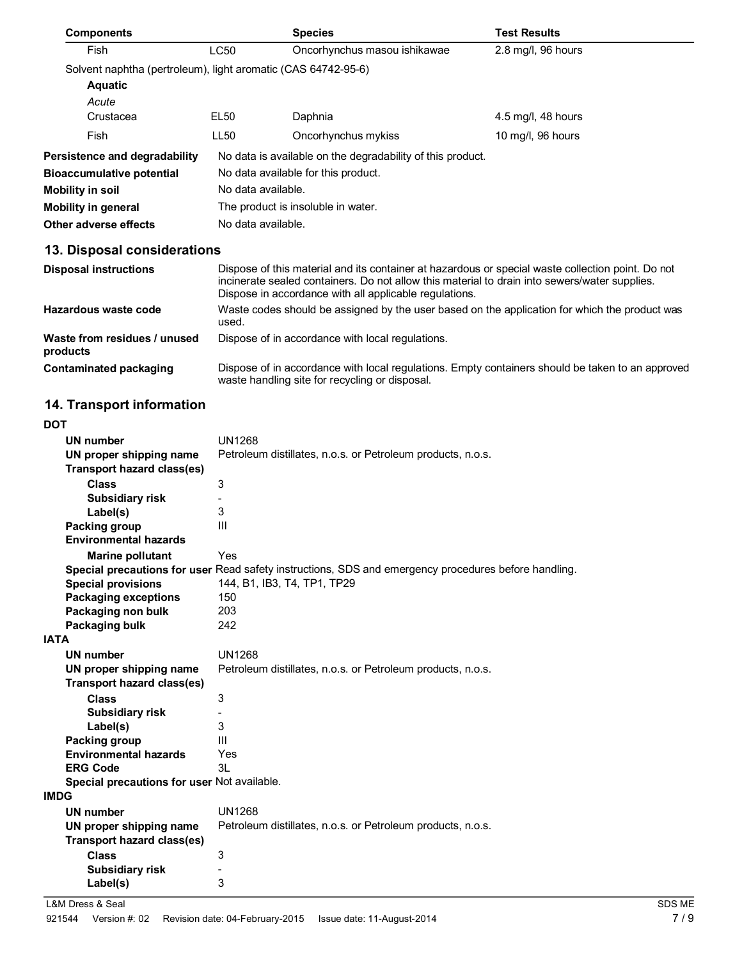| <b>Components</b>                                             |                                                            | <b>Species</b>               | <b>Test Results</b> |
|---------------------------------------------------------------|------------------------------------------------------------|------------------------------|---------------------|
| Fish                                                          | LC50                                                       | Oncorhynchus masou ishikawae | 2.8 mg/l, 96 hours  |
| Solvent naphtha (pertroleum), light aromatic (CAS 64742-95-6) |                                                            |                              |                     |
| <b>Aquatic</b>                                                |                                                            |                              |                     |
| Acute                                                         |                                                            |                              |                     |
| Crustacea                                                     | EL <sub>50</sub>                                           | Daphnia                      | 4.5 mg/l, 48 hours  |
| Fish                                                          | LL50                                                       | Oncorhynchus mykiss          | 10 mg/l, 96 hours   |
| Persistence and degradability                                 | No data is available on the degradability of this product. |                              |                     |
| <b>Bioaccumulative potential</b>                              | No data available for this product.                        |                              |                     |
| <b>Mobility in soil</b>                                       | No data available.                                         |                              |                     |
| <b>Mobility in general</b>                                    | The product is insoluble in water.                         |                              |                     |
| Other adverse effects                                         | No data available.                                         |                              |                     |

# **13. Disposal considerations**

| <b>Disposal instructions</b>             | Dispose of this material and its container at hazardous or special waste collection point. Do not<br>incinerate sealed containers. Do not allow this material to drain into sewers/water supplies.<br>Dispose in accordance with all applicable regulations. |
|------------------------------------------|--------------------------------------------------------------------------------------------------------------------------------------------------------------------------------------------------------------------------------------------------------------|
| Hazardous waste code                     | Waste codes should be assigned by the user based on the application for which the product was<br>used.                                                                                                                                                       |
| Waste from residues / unused<br>products | Dispose of in accordance with local regulations.                                                                                                                                                                                                             |
| Contaminated packaging                   | Dispose of in accordance with local requlations. Empty containers should be taken to an approved<br>waste handling site for recycling or disposal.                                                                                                           |

# **14. Transport information**

| <b>DOT</b>       |                                             |                                                                                                      |
|------------------|---------------------------------------------|------------------------------------------------------------------------------------------------------|
| <b>UN number</b> |                                             | <b>UN1268</b>                                                                                        |
|                  | UN proper shipping name                     | Petroleum distillates, n.o.s. or Petroleum products, n.o.s.                                          |
|                  | <b>Transport hazard class(es)</b>           |                                                                                                      |
|                  | <b>Class</b>                                | 3                                                                                                    |
|                  | <b>Subsidiary risk</b>                      |                                                                                                      |
|                  | Label(s)                                    | 3                                                                                                    |
|                  | Packing group                               | Ш                                                                                                    |
|                  | <b>Environmental hazards</b>                |                                                                                                      |
|                  | <b>Marine pollutant</b>                     | Yes                                                                                                  |
|                  |                                             | Special precautions for user Read safety instructions, SDS and emergency procedures before handling. |
|                  | <b>Special provisions</b>                   | 144, B1, IB3, T4, TP1, TP29                                                                          |
|                  | <b>Packaging exceptions</b>                 | 150                                                                                                  |
|                  | Packaging non bulk                          | 203                                                                                                  |
|                  | Packaging bulk                              | 242                                                                                                  |
| <b>IATA</b>      |                                             |                                                                                                      |
| <b>UN number</b> |                                             | <b>UN1268</b>                                                                                        |
|                  | UN proper shipping name                     | Petroleum distillates, n.o.s. or Petroleum products, n.o.s.                                          |
|                  | <b>Transport hazard class(es)</b>           |                                                                                                      |
|                  | <b>Class</b>                                | 3                                                                                                    |
|                  | <b>Subsidiary risk</b>                      |                                                                                                      |
|                  | Label(s)                                    | 3                                                                                                    |
|                  | Packing group                               | Ш                                                                                                    |
|                  | <b>Environmental hazards</b>                | Yes                                                                                                  |
| <b>ERG Code</b>  |                                             | 3L                                                                                                   |
|                  | Special precautions for user Not available. |                                                                                                      |
| <b>IMDG</b>      |                                             |                                                                                                      |
| <b>UN number</b> |                                             | <b>UN1268</b>                                                                                        |
|                  | UN proper shipping name                     | Petroleum distillates, n.o.s. or Petroleum products, n.o.s.                                          |
|                  | <b>Transport hazard class(es)</b>           |                                                                                                      |
|                  | <b>Class</b>                                | 3                                                                                                    |
|                  | <b>Subsidiary risk</b>                      |                                                                                                      |
|                  | Label(s)                                    | 3                                                                                                    |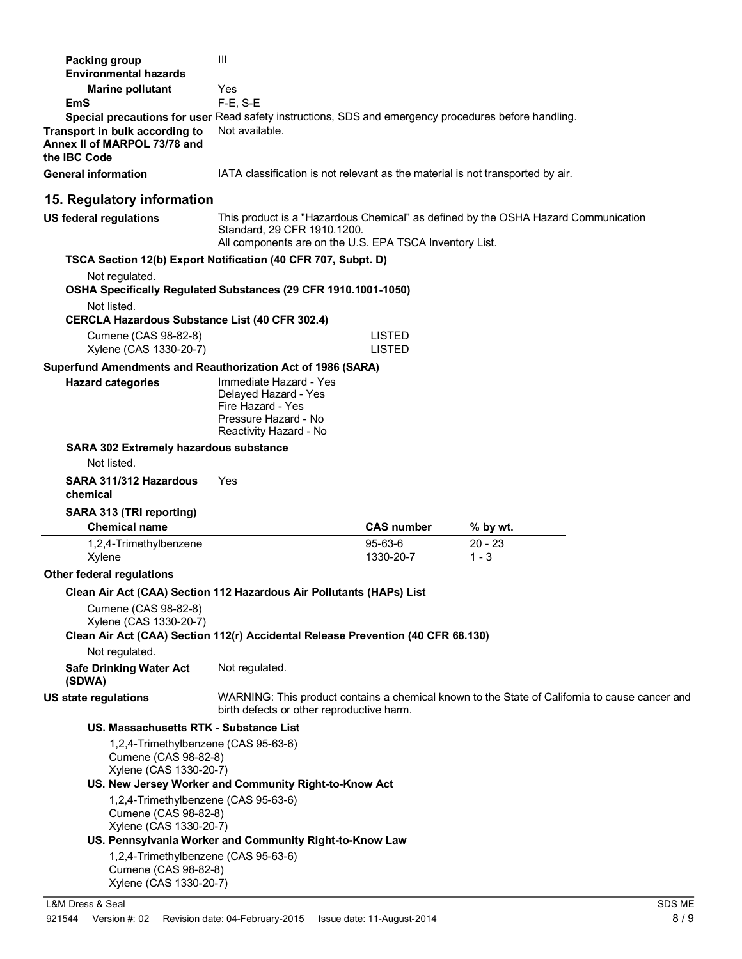| Packing group                                                                                                                                                                          | Ш                                                                                                                     |                      |                                                                                                |
|----------------------------------------------------------------------------------------------------------------------------------------------------------------------------------------|-----------------------------------------------------------------------------------------------------------------------|----------------------|------------------------------------------------------------------------------------------------|
| <b>Environmental hazards</b>                                                                                                                                                           |                                                                                                                       |                      |                                                                                                |
| <b>Marine pollutant</b>                                                                                                                                                                | Yes                                                                                                                   |                      |                                                                                                |
| <b>EmS</b>                                                                                                                                                                             | $F-E$ , S-E                                                                                                           |                      |                                                                                                |
| Special precautions for user Read safety instructions, SDS and emergency procedures before handling.<br>Transport in bulk according to<br>Annex II of MARPOL 73/78 and<br>the IBC Code | Not available.                                                                                                        |                      |                                                                                                |
| <b>General information</b>                                                                                                                                                             | IATA classification is not relevant as the material is not transported by air.                                        |                      |                                                                                                |
| 15. Regulatory information                                                                                                                                                             |                                                                                                                       |                      |                                                                                                |
| <b>US federal regulations</b>                                                                                                                                                          | Standard, 29 CFR 1910.1200.<br>All components are on the U.S. EPA TSCA Inventory List.                                |                      | This product is a "Hazardous Chemical" as defined by the OSHA Hazard Communication             |
| TSCA Section 12(b) Export Notification (40 CFR 707, Subpt. D)                                                                                                                          |                                                                                                                       |                      |                                                                                                |
| Not regulated.<br>OSHA Specifically Regulated Substances (29 CFR 1910.1001-1050)                                                                                                       |                                                                                                                       |                      |                                                                                                |
| Not listed.<br><b>CERCLA Hazardous Substance List (40 CFR 302.4)</b>                                                                                                                   |                                                                                                                       |                      |                                                                                                |
| Cumene (CAS 98-82-8)                                                                                                                                                                   |                                                                                                                       | <b>LISTED</b>        |                                                                                                |
| Xylene (CAS 1330-20-7)                                                                                                                                                                 |                                                                                                                       | <b>LISTED</b>        |                                                                                                |
| Superfund Amendments and Reauthorization Act of 1986 (SARA)                                                                                                                            |                                                                                                                       |                      |                                                                                                |
| <b>Hazard categories</b>                                                                                                                                                               | Immediate Hazard - Yes<br>Delayed Hazard - Yes<br>Fire Hazard - Yes<br>Pressure Hazard - No<br>Reactivity Hazard - No |                      |                                                                                                |
| SARA 302 Extremely hazardous substance<br>Not listed.                                                                                                                                  |                                                                                                                       |                      |                                                                                                |
| SARA 311/312 Hazardous<br>chemical                                                                                                                                                     | Yes                                                                                                                   |                      |                                                                                                |
| SARA 313 (TRI reporting)                                                                                                                                                               |                                                                                                                       |                      |                                                                                                |
| <b>Chemical name</b>                                                                                                                                                                   |                                                                                                                       | <b>CAS number</b>    | % by wt.                                                                                       |
| 1,2,4-Trimethylbenzene<br>Xylene                                                                                                                                                       |                                                                                                                       | 95-63-6<br>1330-20-7 | $20 - 23$<br>$1 - 3$                                                                           |
| Other federal regulations                                                                                                                                                              |                                                                                                                       |                      |                                                                                                |
| Clean Air Act (CAA) Section 112 Hazardous Air Pollutants (HAPs) List                                                                                                                   |                                                                                                                       |                      |                                                                                                |
| Cumene (CAS 98-82-8)<br>Xylene (CAS 1330-20-7)<br>Clean Air Act (CAA) Section 112(r) Accidental Release Prevention (40 CFR 68.130)                                                     |                                                                                                                       |                      |                                                                                                |
| Not regulated.                                                                                                                                                                         |                                                                                                                       |                      |                                                                                                |
| <b>Safe Drinking Water Act</b><br>(SDWA)                                                                                                                                               | Not regulated.                                                                                                        |                      |                                                                                                |
| US state regulations                                                                                                                                                                   | birth defects or other reproductive harm.                                                                             |                      | WARNING: This product contains a chemical known to the State of California to cause cancer and |
| US. Massachusetts RTK - Substance List                                                                                                                                                 |                                                                                                                       |                      |                                                                                                |
| 1,2,4-Trimethylbenzene (CAS 95-63-6)<br>Cumene (CAS 98-82-8)<br>Xylene (CAS 1330-20-7)                                                                                                 |                                                                                                                       |                      |                                                                                                |
|                                                                                                                                                                                        | US. New Jersey Worker and Community Right-to-Know Act                                                                 |                      |                                                                                                |
| 1,2,4-Trimethylbenzene (CAS 95-63-6)<br>Cumene (CAS 98-82-8)<br>Xylene (CAS 1330-20-7)                                                                                                 |                                                                                                                       |                      |                                                                                                |
|                                                                                                                                                                                        | US. Pennsylvania Worker and Community Right-to-Know Law                                                               |                      |                                                                                                |
| 1,2,4-Trimethylbenzene (CAS 95-63-6)<br>Cumene (CAS 98-82-8)<br>Xylene (CAS 1330-20-7)                                                                                                 |                                                                                                                       |                      |                                                                                                |